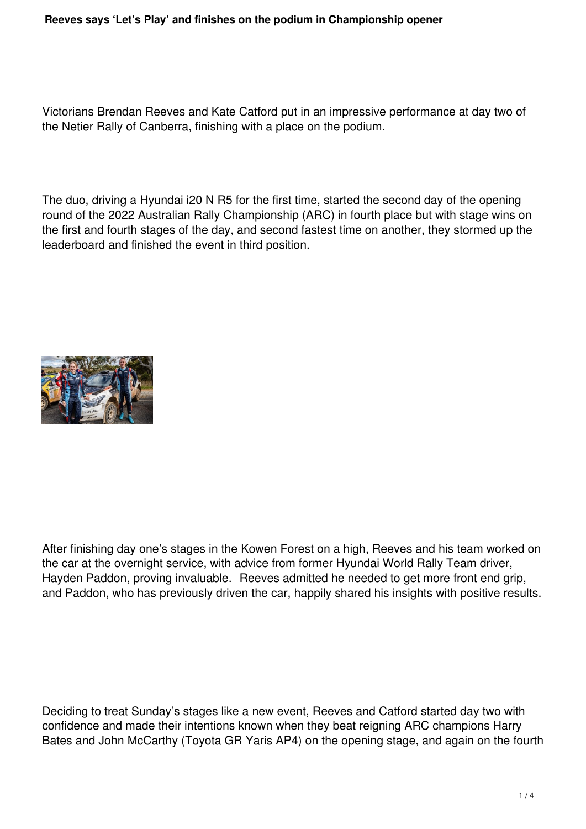## **Reeves says 'Let's Play' and finishes on the podium in Championship opener**

Victorians Brendan Reeves and Kate Catford put in an impressive performance at day two of the Netier Rally of Canberra, finishing with a place on the podium.

The duo, driving a Hyundai i20 N R5 for the first time, started the second day of the opening round of the 2022 Australian Rally Championship (ARC) in fourth place but with stage wins on the first and fourth stages of the day, and second fastest time on another, they stormed up the leaderboard and finished the event in third position.



After finishing day one's stages in the Kowen Forest on a high, Reeves and his team worked on the car at the overnight service, with advice from former Hyundai World Rally Team driver, Hayden Paddon, proving invaluable. Reeves admitted he needed to get more front end grip, and Paddon, who has previously driven the car, happily shared his insights with positive results.

Deciding to treat Sunday's stages like a new event, Reeves and Catford started day two with confidence and made their intentions known when they beat reigning ARC champions Harry Bates and John McCarthy (Toyota GR Yaris AP4) on the opening stage, and again on the fourth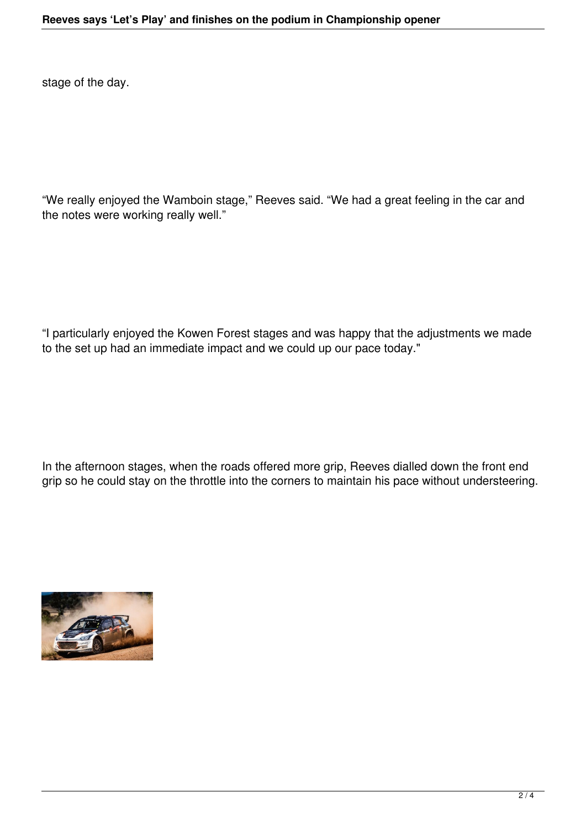stage of the day.

"We really enjoyed the Wamboin stage," Reeves said. "We had a great feeling in the car and the notes were working really well."

"I particularly enjoyed the Kowen Forest stages and was happy that the adjustments we made to the set up had an immediate impact and we could up our pace today."

In the afternoon stages, when the roads offered more grip, Reeves dialled down the front end grip so he could stay on the throttle into the corners to maintain his pace without understeering.

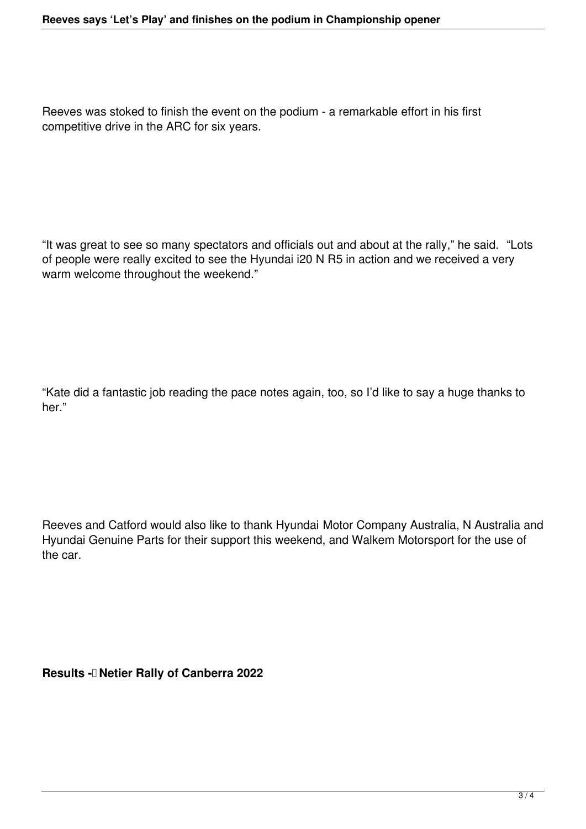Reeves was stoked to finish the event on the podium - a remarkable effort in his first competitive drive in the ARC for six years.

"It was great to see so many spectators and officials out and about at the rally," he said. "Lots of people were really excited to see the Hyundai i20 N R5 in action and we received a very warm welcome throughout the weekend."

"Kate did a fantastic job reading the pace notes again, too, so I'd like to say a huge thanks to her."

Reeves and Catford would also like to thank Hyundai Motor Company Australia, N Australia and Hyundai Genuine Parts for their support this weekend, and Walkem Motorsport for the use of the car.

**Results - Netier Rally of Canberra 2022**